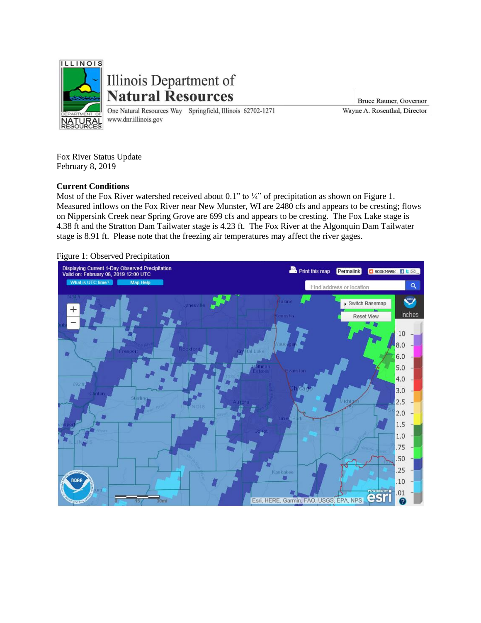

Illinois Department of **Natural Resources** 

One Natural Resources Way Springfield, Illinois 62702-1271 www.dnr.illinois.gov

Bruce Rauner, Governor Wayne A. Rosenthal, Director

Fox River Status Update February 8, 2019

## **Current Conditions**

Most of the Fox River watershed received about 0.1" to ¼" of precipitation as shown on Figure 1. Measured inflows on the Fox River near New Munster, WI are 2480 cfs and appears to be cresting; flows on Nippersink Creek near Spring Grove are 699 cfs and appears to be cresting. The Fox Lake stage is 4.38 ft and the Stratton Dam Tailwater stage is 4.23 ft. The Fox River at the Algonquin Dam Tailwater stage is 8.91 ft. Please note that the freezing air temperatures may affect the river gages.



## Figure 1: Observed Precipitation